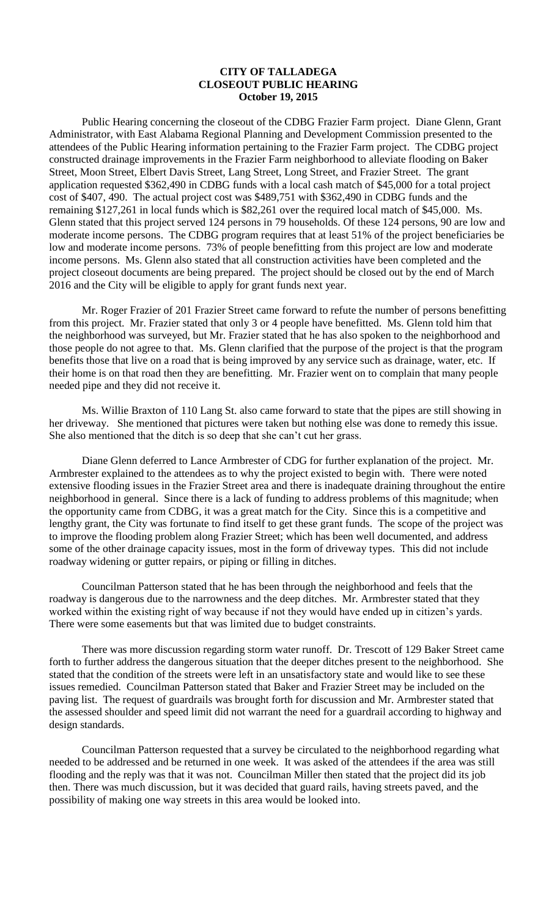## **CITY OF TALLADEGA CLOSEOUT PUBLIC HEARING October 19, 2015**

Public Hearing concerning the closeout of the CDBG Frazier Farm project. Diane Glenn, Grant Administrator, with East Alabama Regional Planning and Development Commission presented to the attendees of the Public Hearing information pertaining to the Frazier Farm project. The CDBG project constructed drainage improvements in the Frazier Farm neighborhood to alleviate flooding on Baker Street, Moon Street, Elbert Davis Street, Lang Street, Long Street, and Frazier Street. The grant application requested \$362,490 in CDBG funds with a local cash match of \$45,000 for a total project cost of \$407, 490. The actual project cost was \$489,751 with \$362,490 in CDBG funds and the remaining \$127,261 in local funds which is \$82,261 over the required local match of \$45,000. Ms. Glenn stated that this project served 124 persons in 79 households. Of these 124 persons, 90 are low and moderate income persons. The CDBG program requires that at least 51% of the project beneficiaries be low and moderate income persons. 73% of people benefitting from this project are low and moderate income persons. Ms. Glenn also stated that all construction activities have been completed and the project closeout documents are being prepared. The project should be closed out by the end of March 2016 and the City will be eligible to apply for grant funds next year.

Mr. Roger Frazier of 201 Frazier Street came forward to refute the number of persons benefitting from this project. Mr. Frazier stated that only 3 or 4 people have benefitted. Ms. Glenn told him that the neighborhood was surveyed, but Mr. Frazier stated that he has also spoken to the neighborhood and those people do not agree to that. Ms. Glenn clarified that the purpose of the project is that the program benefits those that live on a road that is being improved by any service such as drainage, water, etc. If their home is on that road then they are benefitting. Mr. Frazier went on to complain that many people needed pipe and they did not receive it.

Ms. Willie Braxton of 110 Lang St. also came forward to state that the pipes are still showing in her driveway. She mentioned that pictures were taken but nothing else was done to remedy this issue. She also mentioned that the ditch is so deep that she can't cut her grass.

Diane Glenn deferred to Lance Armbrester of CDG for further explanation of the project. Mr. Armbrester explained to the attendees as to why the project existed to begin with. There were noted extensive flooding issues in the Frazier Street area and there is inadequate draining throughout the entire neighborhood in general. Since there is a lack of funding to address problems of this magnitude; when the opportunity came from CDBG, it was a great match for the City. Since this is a competitive and lengthy grant, the City was fortunate to find itself to get these grant funds. The scope of the project was to improve the flooding problem along Frazier Street; which has been well documented, and address some of the other drainage capacity issues, most in the form of driveway types. This did not include roadway widening or gutter repairs, or piping or filling in ditches.

Councilman Patterson stated that he has been through the neighborhood and feels that the roadway is dangerous due to the narrowness and the deep ditches. Mr. Armbrester stated that they worked within the existing right of way because if not they would have ended up in citizen's yards. There were some easements but that was limited due to budget constraints.

There was more discussion regarding storm water runoff. Dr. Trescott of 129 Baker Street came forth to further address the dangerous situation that the deeper ditches present to the neighborhood. She stated that the condition of the streets were left in an unsatisfactory state and would like to see these issues remedied. Councilman Patterson stated that Baker and Frazier Street may be included on the paving list. The request of guardrails was brought forth for discussion and Mr. Armbrester stated that the assessed shoulder and speed limit did not warrant the need for a guardrail according to highway and design standards.

Councilman Patterson requested that a survey be circulated to the neighborhood regarding what needed to be addressed and be returned in one week. It was asked of the attendees if the area was still flooding and the reply was that it was not. Councilman Miller then stated that the project did its job then. There was much discussion, but it was decided that guard rails, having streets paved, and the possibility of making one way streets in this area would be looked into.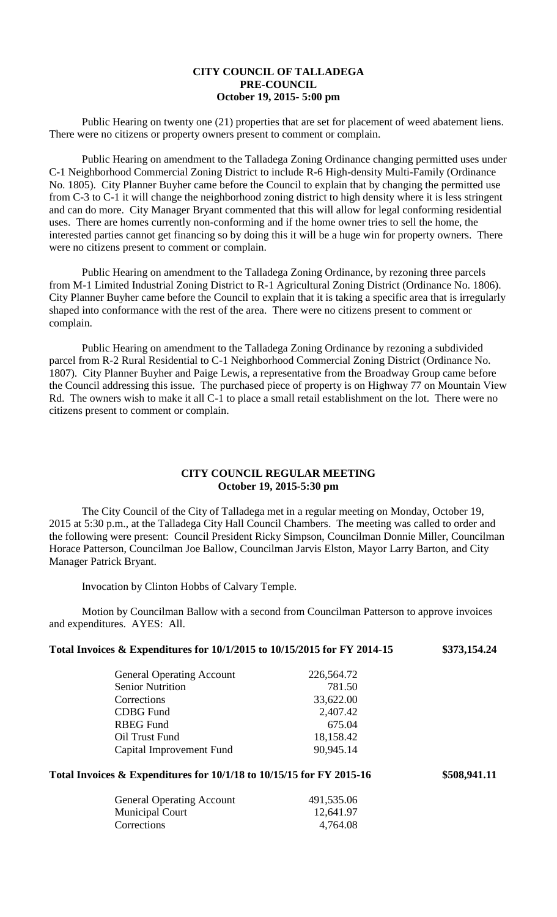# **CITY COUNCIL OF TALLADEGA PRE-COUNCIL October 19, 2015- 5:00 pm**

Public Hearing on twenty one (21) properties that are set for placement of weed abatement liens. There were no citizens or property owners present to comment or complain.

Public Hearing on amendment to the Talladega Zoning Ordinance changing permitted uses under C-1 Neighborhood Commercial Zoning District to include R-6 High-density Multi-Family (Ordinance No. 1805). City Planner Buyher came before the Council to explain that by changing the permitted use from C-3 to C-1 it will change the neighborhood zoning district to high density where it is less stringent and can do more. City Manager Bryant commented that this will allow for legal conforming residential uses. There are homes currently non-conforming and if the home owner tries to sell the home, the interested parties cannot get financing so by doing this it will be a huge win for property owners. There were no citizens present to comment or complain.

Public Hearing on amendment to the Talladega Zoning Ordinance, by rezoning three parcels from M-1 Limited Industrial Zoning District to R-1 Agricultural Zoning District (Ordinance No. 1806). City Planner Buyher came before the Council to explain that it is taking a specific area that is irregularly shaped into conformance with the rest of the area. There were no citizens present to comment or complain.

Public Hearing on amendment to the Talladega Zoning Ordinance by rezoning a subdivided parcel from R-2 Rural Residential to C-1 Neighborhood Commercial Zoning District (Ordinance No. 1807). City Planner Buyher and Paige Lewis, a representative from the Broadway Group came before the Council addressing this issue. The purchased piece of property is on Highway 77 on Mountain View Rd. The owners wish to make it all C-1 to place a small retail establishment on the lot. There were no citizens present to comment or complain.

## **CITY COUNCIL REGULAR MEETING October 19, 2015-5:30 pm**

The City Council of the City of Talladega met in a regular meeting on Monday, October 19, 2015 at 5:30 p.m., at the Talladega City Hall Council Chambers. The meeting was called to order and the following were present: Council President Ricky Simpson, Councilman Donnie Miller, Councilman Horace Patterson, Councilman Joe Ballow, Councilman Jarvis Elston, Mayor Larry Barton, and City Manager Patrick Bryant.

Invocation by Clinton Hobbs of Calvary Temple.

Motion by Councilman Ballow with a second from Councilman Patterson to approve invoices and expenditures. AYES: All.

| Total Invoices & Expenditures for $10/1/2015$ to $10/15/2015$ for FY 2014-15 | \$373,154.24 |
|------------------------------------------------------------------------------|--------------|
|                                                                              |              |

| <b>General Operating Account</b> | 226,564.72 |
|----------------------------------|------------|
| <b>Senior Nutrition</b>          | 781.50     |
| Corrections                      | 33,622.00  |
| <b>CDBG</b> Fund                 | 2,407.42   |
| <b>RBEG Fund</b>                 | 675.04     |
| Oil Trust Fund                   | 18,158.42  |
| Capital Improvement Fund         | 90,945.14  |
|                                  |            |

#### **Total Invoices & Expenditures for 10/1/18 to 10/15/15 for FY 2015-16 \$508,941.11**

| <b>General Operating Account</b> | 491,535.06 |
|----------------------------------|------------|
| Municipal Court                  | 12,641.97  |
| Corrections                      | 4,764.08   |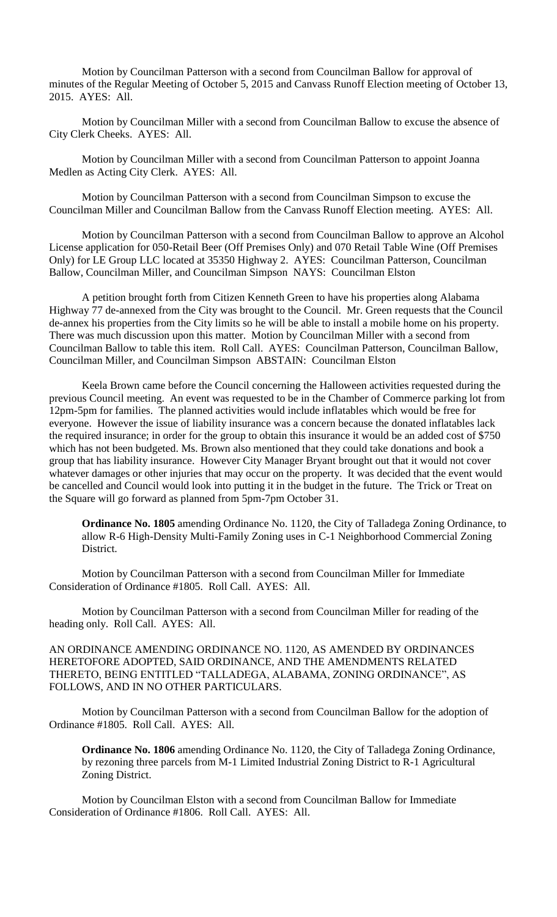Motion by Councilman Patterson with a second from Councilman Ballow for approval of minutes of the Regular Meeting of October 5, 2015 and Canvass Runoff Election meeting of October 13, 2015. AYES: All.

Motion by Councilman Miller with a second from Councilman Ballow to excuse the absence of City Clerk Cheeks. AYES: All.

Motion by Councilman Miller with a second from Councilman Patterson to appoint Joanna Medlen as Acting City Clerk. AYES: All.

Motion by Councilman Patterson with a second from Councilman Simpson to excuse the Councilman Miller and Councilman Ballow from the Canvass Runoff Election meeting. AYES: All.

Motion by Councilman Patterson with a second from Councilman Ballow to approve an Alcohol License application for 050-Retail Beer (Off Premises Only) and 070 Retail Table Wine (Off Premises Only) for LE Group LLC located at 35350 Highway 2. AYES: Councilman Patterson, Councilman Ballow, Councilman Miller, and Councilman Simpson NAYS: Councilman Elston

A petition brought forth from Citizen Kenneth Green to have his properties along Alabama Highway 77 de-annexed from the City was brought to the Council. Mr. Green requests that the Council de-annex his properties from the City limits so he will be able to install a mobile home on his property. There was much discussion upon this matter. Motion by Councilman Miller with a second from Councilman Ballow to table this item. Roll Call. AYES: Councilman Patterson, Councilman Ballow, Councilman Miller, and Councilman Simpson ABSTAIN: Councilman Elston

Keela Brown came before the Council concerning the Halloween activities requested during the previous Council meeting. An event was requested to be in the Chamber of Commerce parking lot from 12pm-5pm for families. The planned activities would include inflatables which would be free for everyone. However the issue of liability insurance was a concern because the donated inflatables lack the required insurance; in order for the group to obtain this insurance it would be an added cost of \$750 which has not been budgeted. Ms. Brown also mentioned that they could take donations and book a group that has liability insurance. However City Manager Bryant brought out that it would not cover whatever damages or other injuries that may occur on the property. It was decided that the event would be cancelled and Council would look into putting it in the budget in the future. The Trick or Treat on the Square will go forward as planned from 5pm-7pm October 31.

**Ordinance No. 1805** amending Ordinance No. 1120, the City of Talladega Zoning Ordinance, to allow R-6 High-Density Multi-Family Zoning uses in C-1 Neighborhood Commercial Zoning District.

Motion by Councilman Patterson with a second from Councilman Miller for Immediate Consideration of Ordinance #1805. Roll Call. AYES: All.

Motion by Councilman Patterson with a second from Councilman Miller for reading of the heading only. Roll Call. AYES: All.

AN ORDINANCE AMENDING ORDINANCE NO. 1120, AS AMENDED BY ORDINANCES HERETOFORE ADOPTED, SAID ORDINANCE, AND THE AMENDMENTS RELATED THERETO, BEING ENTITLED "TALLADEGA, ALABAMA, ZONING ORDINANCE", AS FOLLOWS, AND IN NO OTHER PARTICULARS.

Motion by Councilman Patterson with a second from Councilman Ballow for the adoption of Ordinance #1805. Roll Call. AYES: All.

**Ordinance No. 1806** amending Ordinance No. 1120, the City of Talladega Zoning Ordinance, by rezoning three parcels from M-1 Limited Industrial Zoning District to R-1 Agricultural Zoning District.

Motion by Councilman Elston with a second from Councilman Ballow for Immediate Consideration of Ordinance #1806. Roll Call. AYES: All.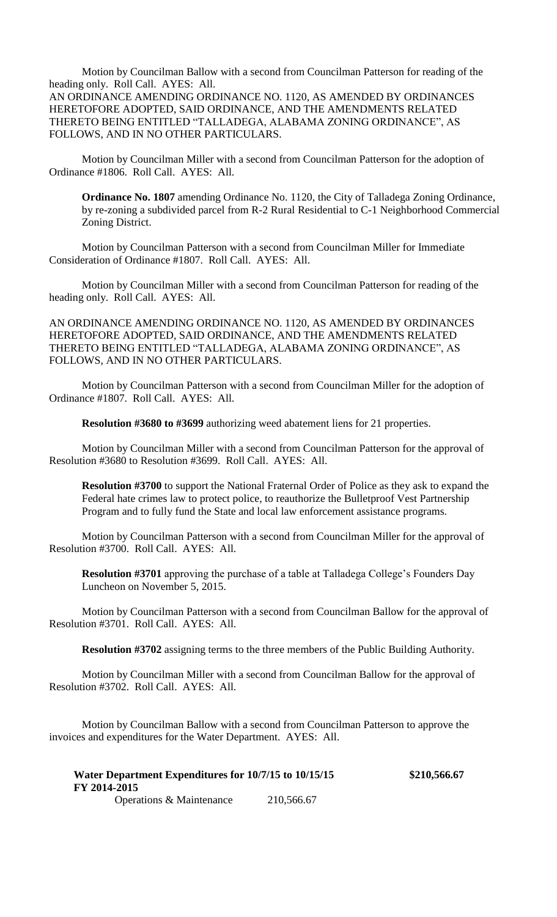Motion by Councilman Ballow with a second from Councilman Patterson for reading of the heading only. Roll Call. AYES: All.

AN ORDINANCE AMENDING ORDINANCE NO. 1120, AS AMENDED BY ORDINANCES HERETOFORE ADOPTED, SAID ORDINANCE, AND THE AMENDMENTS RELATED THERETO BEING ENTITLED "TALLADEGA, ALABAMA ZONING ORDINANCE", AS FOLLOWS, AND IN NO OTHER PARTICULARS.

Motion by Councilman Miller with a second from Councilman Patterson for the adoption of Ordinance #1806. Roll Call. AYES: All.

**Ordinance No. 1807** amending Ordinance No. 1120, the City of Talladega Zoning Ordinance, by re-zoning a subdivided parcel from R-2 Rural Residential to C-1 Neighborhood Commercial Zoning District.

Motion by Councilman Patterson with a second from Councilman Miller for Immediate Consideration of Ordinance #1807. Roll Call. AYES: All.

Motion by Councilman Miller with a second from Councilman Patterson for reading of the heading only. Roll Call. AYES: All.

AN ORDINANCE AMENDING ORDINANCE NO. 1120, AS AMENDED BY ORDINANCES HERETOFORE ADOPTED, SAID ORDINANCE, AND THE AMENDMENTS RELATED THERETO BEING ENTITLED "TALLADEGA, ALABAMA ZONING ORDINANCE", AS FOLLOWS, AND IN NO OTHER PARTICULARS.

Motion by Councilman Patterson with a second from Councilman Miller for the adoption of Ordinance #1807. Roll Call. AYES: All.

**Resolution #3680 to #3699** authorizing weed abatement liens for 21 properties.

Motion by Councilman Miller with a second from Councilman Patterson for the approval of Resolution #3680 to Resolution #3699. Roll Call. AYES: All.

**Resolution #3700** to support the National Fraternal Order of Police as they ask to expand the Federal hate crimes law to protect police, to reauthorize the Bulletproof Vest Partnership Program and to fully fund the State and local law enforcement assistance programs.

Motion by Councilman Patterson with a second from Councilman Miller for the approval of Resolution #3700. Roll Call. AYES: All.

**Resolution #3701** approving the purchase of a table at Talladega College's Founders Day Luncheon on November 5, 2015.

Motion by Councilman Patterson with a second from Councilman Ballow for the approval of Resolution #3701. Roll Call. AYES: All.

**Resolution #3702** assigning terms to the three members of the Public Building Authority.

Motion by Councilman Miller with a second from Councilman Ballow for the approval of Resolution #3702. Roll Call. AYES: All.

Motion by Councilman Ballow with a second from Councilman Patterson to approve the invoices and expenditures for the Water Department. AYES: All.

| Water Department Expenditures for 10/7/15 to 10/15/15 |            | \$210,566.67 |
|-------------------------------------------------------|------------|--------------|
| FY 2014-2015                                          |            |              |
| <b>Operations &amp; Maintenance</b>                   | 210,566.67 |              |